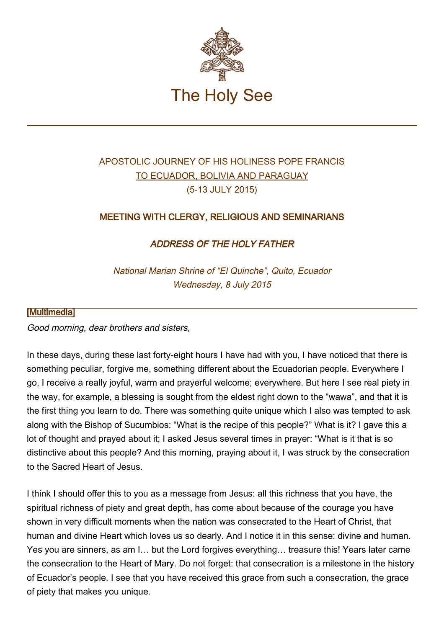

# [APOSTOLIC JOURNEY OF HIS HOLINESS POPE FRANCIS](http://w2.vatican.va/content/francesco/en/travels/2015/outside/documents/papa-francesco-ecuador-bolivia-paraguay-2015.html) [TO ECUADOR, BOLIVIA AND PARAGUAY](http://w2.vatican.va/content/francesco/en/travels/2015/outside/documents/papa-francesco-ecuador-bolivia-paraguay-2015.html) (5-13 JULY 2015)

## MEETING WITH CLERGY, RELIGIOUS AND SEMINARIANS

### ADDRESS OF THE HOLY FATHER

National Marian Shrine of "El Quinche", Quito, Ecuador Wednesday, 8 July 2015

#### [\[Multimedia](http://w2.vatican.va/content/francesco/en/events/event.dir.html/content/vaticanevents/en/2015/7/8/ecuadorreligiosi.html)]

Good morning, dear brothers and sisters,

In these days, during these last forty-eight hours I have had with you, I have noticed that there is something peculiar, forgive me, something different about the Ecuadorian people. Everywhere I go, I receive a really joyful, warm and prayerful welcome; everywhere. But here I see real piety in the way, for example, a blessing is sought from the eldest right down to the "wawa", and that it is the first thing you learn to do. There was something quite unique which I also was tempted to ask along with the Bishop of Sucumbios: "What is the recipe of this people?" What is it? I gave this a lot of thought and prayed about it; I asked Jesus several times in prayer: "What is it that is so distinctive about this people? And this morning, praying about it, I was struck by the consecration to the Sacred Heart of Jesus.

I think I should offer this to you as a message from Jesus: all this richness that you have, the spiritual richness of piety and great depth, has come about because of the courage you have shown in very difficult moments when the nation was consecrated to the Heart of Christ, that human and divine Heart which loves us so dearly. And I notice it in this sense: divine and human. Yes you are sinners, as am I… but the Lord forgives everything… treasure this! Years later came the consecration to the Heart of Mary. Do not forget: that consecration is a milestone in the history of Ecuador's people. I see that you have received this grace from such a consecration, the grace of piety that makes you unique.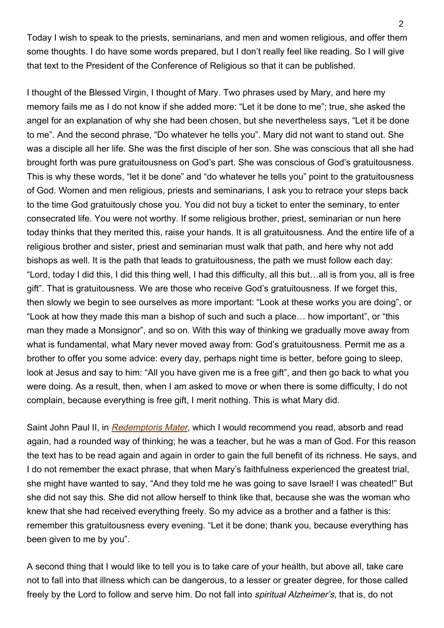Today I wish to speak to the priests, seminarians, and men and women religious, and offer them some thoughts. I do have some words prepared, but I don't really feel like reading. So I will give that text to the President of the Conference of Religious so that it can be published.

I thought of the Blessed Virgin, I thought of Mary. Two phrases used by Mary, and here my memory fails me as I do not know if she added more: "Let it be done to me"; true, she asked the angel for an explanation of why she had been chosen, but she nevertheless says, "Let it be done to me". And the second phrase, "Do whatever he tells you". Mary did not want to stand out. She was a disciple all her life. She was the first disciple of her son. She was conscious that all she had brought forth was pure gratuitousness on God's part. She was conscious of God's gratuitousness. This is why these words, "let it be done" and "do whatever he tells you" point to the gratuitousness of God. Women and men religious, priests and seminarians, I ask you to retrace your steps back to the time God gratuitously chose you. You did not buy a ticket to enter the seminary, to enter consecrated life. You were not worthy. If some religious brother, priest, seminarian or nun here today thinks that they merited this, raise your hands. It is all gratuitousness. And the entire life of a religious brother and sister, priest and seminarian must walk that path, and here why not add bishops as well. It is the path that leads to gratuitousness, the path we must follow each day: "Lord, today I did this, I did this thing well, I had this difficulty, all this but…all is from you, all is free gift". That is gratuitousness. We are those who receive God's gratuitousness. If we forget this, then slowly we begin to see ourselves as more important: "Look at these works you are doing", or "Look at how they made this man a bishop of such and such a place… how important", or "this man they made a Monsignor", and so on. With this way of thinking we gradually move away from what is fundamental, what Mary never moved away from: God's gratuitousness. Permit me as a brother to offer you some advice: every day, perhaps night time is better, before going to sleep, look at Jesus and say to him: "All you have given me is a free gift", and then go back to what you were doing. As a result, then, when I am asked to move or when there is some difficulty, I do not complain, because everything is free gift, I merit nothing. This is what Mary did.

Saint John Paul II, in *[Redemptoris Mater](http://w2.vatican.va/content/john-paul-ii/en/encyclicals/documents/hf_jp-ii_enc_25031987_redemptoris-mater.html)*, which I would recommend you read, absorb and read again, had a rounded way of thinking; he was a teacher, but he was a man of God. For this reason the text has to be read again and again in order to gain the full benefit of its richness. He says, and I do not remember the exact phrase, that when Mary's faithfulness experienced the greatest trial, she might have wanted to say, "And they told me he was going to save Israel! I was cheated!" But she did not say this. She did not allow herself to think like that, because she was the woman who knew that she had received everything freely. So my advice as a brother and a father is this: remember this gratuitousness every evening. "Let it be done; thank you, because everything has been given to me by you".

A second thing that I would like to tell you is to take care of your health, but above all, take care not to fall into that illness which can be dangerous, to a lesser or greater degree, for those called freely by the Lord to follow and serve him. Do not fall into spiritual Alzheimer's, that is, do not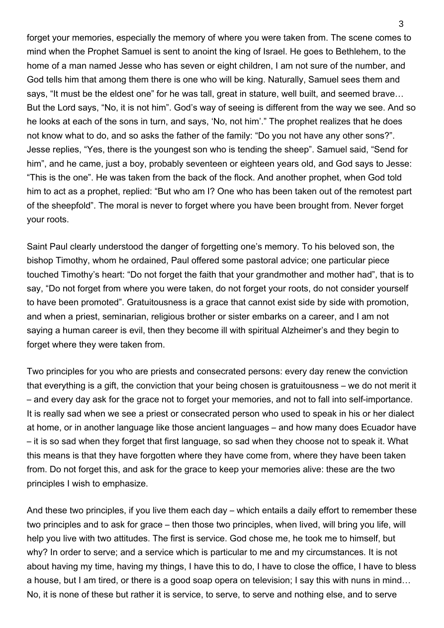forget your memories, especially the memory of where you were taken from. The scene comes to mind when the Prophet Samuel is sent to anoint the king of Israel. He goes to Bethlehem, to the home of a man named Jesse who has seven or eight children, I am not sure of the number, and God tells him that among them there is one who will be king. Naturally, Samuel sees them and says, "It must be the eldest one" for he was tall, great in stature, well built, and seemed brave… But the Lord says, "No, it is not him". God's way of seeing is different from the way we see. And so he looks at each of the sons in turn, and says, 'No, not him'." The prophet realizes that he does not know what to do, and so asks the father of the family: "Do you not have any other sons?". Jesse replies, "Yes, there is the youngest son who is tending the sheep". Samuel said, "Send for him", and he came, just a boy, probably seventeen or eighteen years old, and God says to Jesse: "This is the one". He was taken from the back of the flock. And another prophet, when God told him to act as a prophet, replied: "But who am I? One who has been taken out of the remotest part of the sheepfold". The moral is never to forget where you have been brought from. Never forget your roots.

Saint Paul clearly understood the danger of forgetting one's memory. To his beloved son, the bishop Timothy, whom he ordained, Paul offered some pastoral advice; one particular piece touched Timothy's heart: "Do not forget the faith that your grandmother and mother had", that is to say, "Do not forget from where you were taken, do not forget your roots, do not consider yourself to have been promoted". Gratuitousness is a grace that cannot exist side by side with promotion, and when a priest, seminarian, religious brother or sister embarks on a career, and I am not saying a human career is evil, then they become ill with spiritual Alzheimer's and they begin to forget where they were taken from.

Two principles for you who are priests and consecrated persons: every day renew the conviction that everything is a gift, the conviction that your being chosen is gratuitousness – we do not merit it – and every day ask for the grace not to forget your memories, and not to fall into self-importance. It is really sad when we see a priest or consecrated person who used to speak in his or her dialect at home, or in another language like those ancient languages – and how many does Ecuador have – it is so sad when they forget that first language, so sad when they choose not to speak it. What this means is that they have forgotten where they have come from, where they have been taken from. Do not forget this, and ask for the grace to keep your memories alive: these are the two principles I wish to emphasize.

And these two principles, if you live them each day – which entails a daily effort to remember these two principles and to ask for grace – then those two principles, when lived, will bring you life, will help you live with two attitudes. The first is service. God chose me, he took me to himself, but why? In order to serve; and a service which is particular to me and my circumstances. It is not about having my time, having my things, I have this to do, I have to close the office, I have to bless a house, but I am tired, or there is a good soap opera on television; I say this with nuns in mind… No, it is none of these but rather it is service, to serve, to serve and nothing else, and to serve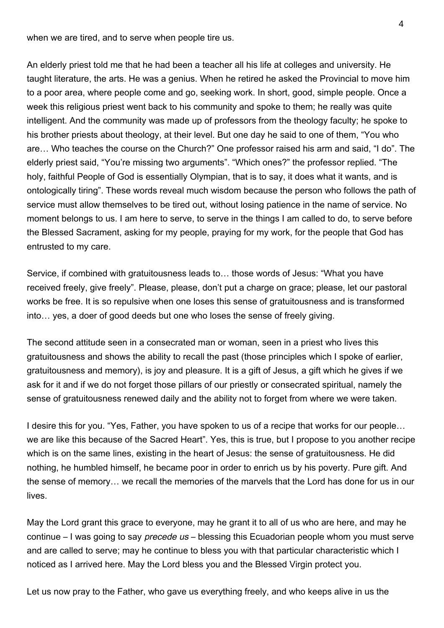when we are tired, and to serve when people tire us.

An elderly priest told me that he had been a teacher all his life at colleges and university. He taught literature, the arts. He was a genius. When he retired he asked the Provincial to move him to a poor area, where people come and go, seeking work. In short, good, simple people. Once a week this religious priest went back to his community and spoke to them; he really was quite intelligent. And the community was made up of professors from the theology faculty; he spoke to his brother priests about theology, at their level. But one day he said to one of them, "You who are… Who teaches the course on the Church?" One professor raised his arm and said, "I do". The elderly priest said, "You're missing two arguments". "Which ones?" the professor replied. "The holy, faithful People of God is essentially Olympian, that is to say, it does what it wants, and is ontologically tiring". These words reveal much wisdom because the person who follows the path of service must allow themselves to be tired out, without losing patience in the name of service. No moment belongs to us. I am here to serve, to serve in the things I am called to do, to serve before the Blessed Sacrament, asking for my people, praying for my work, for the people that God has entrusted to my care.

Service, if combined with gratuitousness leads to… those words of Jesus: "What you have received freely, give freely". Please, please, don't put a charge on grace; please, let our pastoral works be free. It is so repulsive when one loses this sense of gratuitousness and is transformed into… yes, a doer of good deeds but one who loses the sense of freely giving.

The second attitude seen in a consecrated man or woman, seen in a priest who lives this gratuitousness and shows the ability to recall the past (those principles which I spoke of earlier, gratuitousness and memory), is joy and pleasure. It is a gift of Jesus, a gift which he gives if we ask for it and if we do not forget those pillars of our priestly or consecrated spiritual, namely the sense of gratuitousness renewed daily and the ability not to forget from where we were taken.

I desire this for you. "Yes, Father, you have spoken to us of a recipe that works for our people… we are like this because of the Sacred Heart". Yes, this is true, but I propose to you another recipe which is on the same lines, existing in the heart of Jesus: the sense of gratuitousness. He did nothing, he humbled himself, he became poor in order to enrich us by his poverty. Pure gift. And the sense of memory… we recall the memories of the marvels that the Lord has done for us in our lives.

May the Lord grant this grace to everyone, may he grant it to all of us who are here, and may he continue – I was going to say precede us – blessing this Ecuadorian people whom you must serve and are called to serve; may he continue to bless you with that particular characteristic which I noticed as I arrived here. May the Lord bless you and the Blessed Virgin protect you.

Let us now pray to the Father, who gave us everything freely, and who keeps alive in us the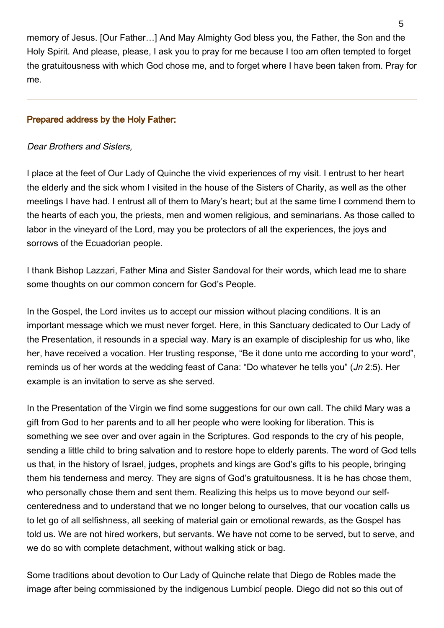memory of Jesus. [Our Father…] And May Almighty God bless you, the Father, the Son and the Holy Spirit. And please, please, I ask you to pray for me because I too am often tempted to forget the gratuitousness with which God chose me, and to forget where I have been taken from. Pray for me.

#### Prepared address by the Holy Father:

#### Dear Brothers and Sisters,

I place at the feet of Our Lady of Quinche the vivid experiences of my visit. I entrust to her heart the elderly and the sick whom I visited in the house of the Sisters of Charity, as well as the other meetings I have had. I entrust all of them to Mary's heart; but at the same time I commend them to the hearts of each you, the priests, men and women religious, and seminarians. As those called to labor in the vineyard of the Lord, may you be protectors of all the experiences, the joys and sorrows of the Ecuadorian people.

I thank Bishop Lazzari, Father Mina and Sister Sandoval for their words, which lead me to share some thoughts on our common concern for God's People.

In the Gospel, the Lord invites us to accept our mission without placing conditions. It is an important message which we must never forget. Here, in this Sanctuary dedicated to Our Lady of the Presentation, it resounds in a special way. Mary is an example of discipleship for us who, like her, have received a vocation. Her trusting response, "Be it done unto me according to your word", reminds us of her words at the wedding feast of Cana: "Do whatever he tells you" (Jn 2:5). Her example is an invitation to serve as she served.

In the Presentation of the Virgin we find some suggestions for our own call. The child Mary was a gift from God to her parents and to all her people who were looking for liberation. This is something we see over and over again in the Scriptures. God responds to the cry of his people, sending a little child to bring salvation and to restore hope to elderly parents. The word of God tells us that, in the history of Israel, judges, prophets and kings are God's gifts to his people, bringing them his tenderness and mercy. They are signs of God's gratuitousness. It is he has chose them, who personally chose them and sent them. Realizing this helps us to move beyond our selfcenteredness and to understand that we no longer belong to ourselves, that our vocation calls us to let go of all selfishness, all seeking of material gain or emotional rewards, as the Gospel has told us. We are not hired workers, but servants. We have not come to be served, but to serve, and we do so with complete detachment, without walking stick or bag.

Some traditions about devotion to Our Lady of Quinche relate that Diego de Robles made the image after being commissioned by the indigenous Lumbicí people. Diego did not so this out of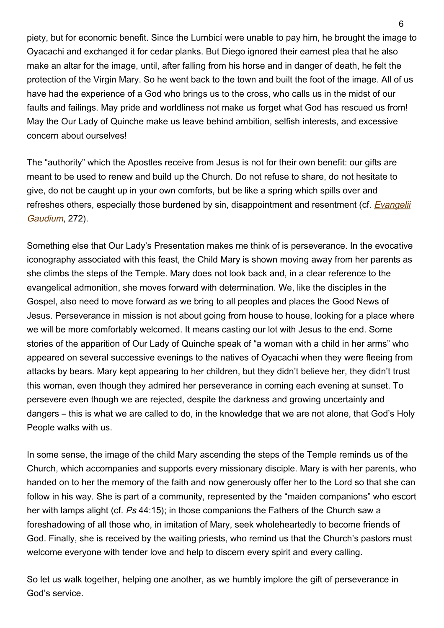piety, but for economic benefit. Since the Lumbicí were unable to pay him, he brought the image to Oyacachi and exchanged it for cedar planks. But Diego ignored their earnest plea that he also make an altar for the image, until, after falling from his horse and in danger of death, he felt the protection of the Virgin Mary. So he went back to the town and built the foot of the image. All of us have had the experience of a God who brings us to the cross, who calls us in the midst of our faults and failings. May pride and worldliness not make us forget what God has rescued us from! May the Our Lady of Quinche make us leave behind ambition, selfish interests, and excessive concern about ourselves!

The "authority" which the Apostles receive from Jesus is not for their own benefit: our gifts are meant to be used to renew and build up the Church. Do not refuse to share, do not hesitate to give, do not be caught up in your own comforts, but be like a spring which spills over and refreshes others, especially those burdened by sin, disappointment and resentment (cf. *[Evangelii](http://w2.vatican.va/content/francesco/en/apost_exhortations/documents/papa-francesco_esortazione-ap_20131124_evangelii-gaudium.html)* [Gaudium](http://w2.vatican.va/content/francesco/en/apost_exhortations/documents/papa-francesco_esortazione-ap_20131124_evangelii-gaudium.html), 272).

Something else that Our Lady's Presentation makes me think of is perseverance. In the evocative iconography associated with this feast, the Child Mary is shown moving away from her parents as she climbs the steps of the Temple. Mary does not look back and, in a clear reference to the evangelical admonition, she moves forward with determination. We, like the disciples in the Gospel, also need to move forward as we bring to all peoples and places the Good News of Jesus. Perseverance in mission is not about going from house to house, looking for a place where we will be more comfortably welcomed. It means casting our lot with Jesus to the end. Some stories of the apparition of Our Lady of Quinche speak of "a woman with a child in her arms" who appeared on several successive evenings to the natives of Oyacachi when they were fleeing from attacks by bears. Mary kept appearing to her children, but they didn't believe her, they didn't trust this woman, even though they admired her perseverance in coming each evening at sunset. To persevere even though we are rejected, despite the darkness and growing uncertainty and dangers – this is what we are called to do, in the knowledge that we are not alone, that God's Holy People walks with us.

In some sense, the image of the child Mary ascending the steps of the Temple reminds us of the Church, which accompanies and supports every missionary disciple. Mary is with her parents, who handed on to her the memory of the faith and now generously offer her to the Lord so that she can follow in his way. She is part of a community, represented by the "maiden companions" who escort her with lamps alight (cf. Ps 44:15); in those companions the Fathers of the Church saw a foreshadowing of all those who, in imitation of Mary, seek wholeheartedly to become friends of God. Finally, she is received by the waiting priests, who remind us that the Church's pastors must welcome everyone with tender love and help to discern every spirit and every calling.

So let us walk together, helping one another, as we humbly implore the gift of perseverance in God's service.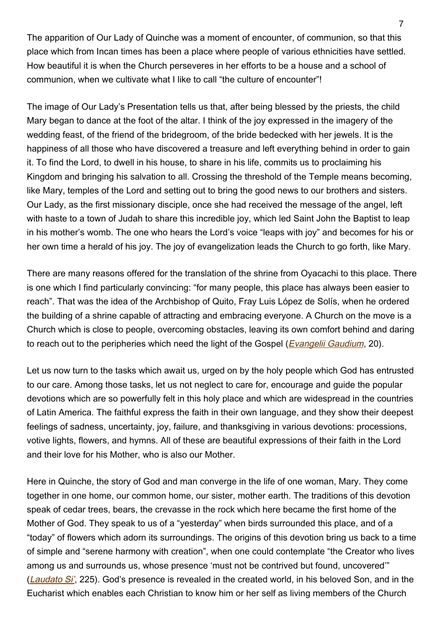The apparition of Our Lady of Quinche was a moment of encounter, of communion, so that this place which from Incan times has been a place where people of various ethnicities have settled. How beautiful it is when the Church perseveres in her efforts to be a house and a school of communion, when we cultivate what I like to call "the culture of encounter"!

The image of Our Lady's Presentation tells us that, after being blessed by the priests, the child Mary began to dance at the foot of the altar. I think of the joy expressed in the imagery of the wedding feast, of the friend of the bridegroom, of the bride bedecked with her jewels. It is the happiness of all those who have discovered a treasure and left everything behind in order to gain it. To find the Lord, to dwell in his house, to share in his life, commits us to proclaiming his Kingdom and bringing his salvation to all. Crossing the threshold of the Temple means becoming, like Mary, temples of the Lord and setting out to bring the good news to our brothers and sisters. Our Lady, as the first missionary disciple, once she had received the message of the angel, left with haste to a town of Judah to share this incredible joy, which led Saint John the Baptist to leap in his mother's womb. The one who hears the Lord's voice "leaps with joy" and becomes for his or her own time a herald of his joy. The joy of evangelization leads the Church to go forth, like Mary.

There are many reasons offered for the translation of the shrine from Oyacachi to this place. There is one which I find particularly convincing: "for many people, this place has always been easier to reach". That was the idea of the Archbishop of Quito, Fray Luis López de Solís, when he ordered the building of a shrine capable of attracting and embracing everyone. A Church on the move is a Church which is close to people, overcoming obstacles, leaving its own comfort behind and daring to reach out to the peripheries which need the light of the Gospel ( $E$ vangelii Gaudium, 20).

Let us now turn to the tasks which await us, urged on by the holy people which God has entrusted to our care. Among those tasks, let us not neglect to care for, encourage and guide the popular devotions which are so powerfully felt in this holy place and which are widespread in the countries of Latin America. The faithful express the faith in their own language, and they show their deepest feelings of sadness, uncertainty, joy, failure, and thanksgiving in various devotions: processions, votive lights, flowers, and hymns. All of these are beautiful expressions of their faith in the Lord and their love for his Mother, who is also our Mother.

Here in Quinche, the story of God and man converge in the life of one woman, Mary. They come together in one home, our common home, our sister, mother earth. The traditions of this devotion speak of cedar trees, bears, the crevasse in the rock which here became the first home of the Mother of God. They speak to us of a "yesterday" when birds surrounded this place, and of a "today" of flowers which adorn its surroundings. The origins of this devotion bring us back to a time of simple and "serene harmony with creation", when one could contemplate "the Creator who lives among us and surrounds us, whose presence 'must not be contrived but found, uncovered'" (*[Laudato Si'](http://w2.vatican.va/content/francesco/en/encyclicals/documents/papa-francesco_20150524_enciclica-laudato-si.html)*, 225). God's presence is revealed in the created world, in his beloved Son, and in the Eucharist which enables each Christian to know him or her self as living members of the Church